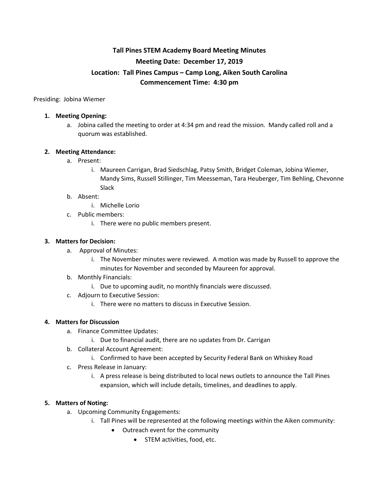# **Tall Pines STEM Academy Board Meeting Minutes Meeting Date: December 17, 2019 Location: Tall Pines Campus – Camp Long, Aiken South Carolina Commencement Time: 4:30 pm**

Presiding: Jobina Wiemer

#### **1. Meeting Opening:**

a. Jobina called the meeting to order at 4:34 pm and read the mission. Mandy called roll and a quorum was established.

## **2. Meeting Attendance:**

- a. Present:
	- i. Maureen Carrigan, Brad Siedschlag, Patsy Smith, Bridget Coleman, Jobina Wiemer, Mandy Sims, Russell Stillinger, Tim Meesseman, Tara Heuberger, Tim Behling, Chevonne Slack

#### b. Absent:

- i. Michelle Lorio
- c. Public members:
	- i. There were no public members present.

## **3. Matters for Decision:**

- a. Approval of Minutes:
	- i. The November minutes were reviewed. A motion was made by Russell to approve the minutes for November and seconded by Maureen for approval.
- b. Monthly Financials:
	- i. Due to upcoming audit, no monthly financials were discussed.
- c. Adjourn to Executive Session:
	- i. There were no matters to discuss in Executive Session.

## **4. Matters for Discussion**

- a. Finance Committee Updates:
	- i. Due to financial audit, there are no updates from Dr. Carrigan
- b. Collateral Account Agreement:
	- i. Confirmed to have been accepted by Security Federal Bank on Whiskey Road
- c. Press Release in January:
	- i. A press release is being distributed to local news outlets to announce the Tall Pines expansion, which will include details, timelines, and deadlines to apply.

## **5. Matters of Noting:**

- a. Upcoming Community Engagements:
	- i. Tall Pines will be represented at the following meetings within the Aiken community:
		- Outreach event for the community
			- STEM activities, food, etc.